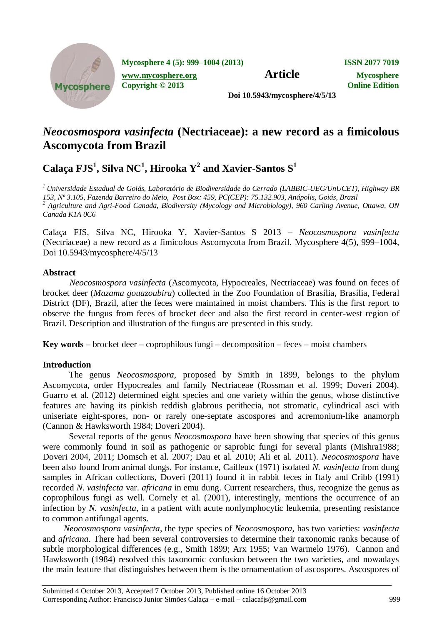

**Mycosphere 4 (5): 999–1004 (2013) ISSN 2077 7019**

**Article Mycosphere.org Article Mycosphere** 

**Copyright © 2013 Online Edition**

**Doi 10.5943/mycosphere/4/5/13**

# *Neocosmospora vasinfecta* **(Nectriaceae): a new record as a fimicolous Ascomycota from Brazil**

 $\bf{Calac}$ a FJ $\bf{S}^1$ , Silva  $\bf{NC}^1$ , Hirooka  $\bf{Y}^2$  and  $\bf{X}$ avier-Santos  $\bf{S}^1$ 

*<sup>1</sup>Universidade Estadual de Goiás, Laboratório de Biodiversidade do Cerrado (LABBIC-UEG/UnUCET), Highway BR 153, Nº 3.105, Fazenda Barreiro do Meio, Post Box: 459, PC(CEP): 75.132.903, Anápolis, Goiás, Brazil <sup>2</sup> Agriculture and Agri-Food Canada, Biodiversity (Mycology and Microbiology), 960 Carling Avenue, Ottawa, ON Canada K1A 0C6*

Calaça FJS, Silva NC, Hirooka Y, Xavier-Santos S 2013 – *Neocosmospora vasinfecta*  (Nectriaceae) a new record as a fimicolous Ascomycota from Brazil. Mycosphere 4(5), 999–1004, Doi 10.5943/mycosphere/4/5/13

## **Abstract**

*Neocosmospora vasinfecta* (Ascomycota, Hypocreales, Nectriaceae) was found on feces of brocket deer (*Mazama gouazoubira*) collected in the Zoo Foundation of Brasília, Brasília, Federal District (DF), Brazil, after the feces were maintained in moist chambers. This is the first report to observe the fungus from feces of brocket deer and also the first record in center-west region of Brazil. Description and illustration of the fungus are presented in this study.

**Key words** – brocket deer – coprophilous fungi – decomposition – feces – moist chambers

# **Introduction**

The genus *Neocosmospora*, proposed by Smith in 1899, belongs to the phylum Ascomycota, order Hypocreales and family Nectriaceae (Rossman et al. 1999; Doveri 2004). Guarro et al. (2012) determined eight species and one variety within the genus, whose distinctive features are having its pinkish reddish glabrous perithecia, not stromatic, cylindrical asci with uniseriate eight-spores, non- or rarely one-septate ascospores and acremonium-like anamorph (Cannon & Hawksworth 1984; Doveri 2004).

Several reports of the genus *Neocosmospora* have been showing that species of this genus were commonly found in soil as pathogenic or saprobic fungi for several plants (Mishra1988; Doveri 2004, 2011; Domsch et al. 2007; Dau et al. 2010; Ali et al. 2011). *Neocosmospora* have been also found from animal dungs. For instance, Cailleux (1971) isolated *N. vasinfecta* from dung samples in African collections, Doveri (2011) found it in rabbit feces in Italy and Cribb (1991) recorded *N. vasinfecta* var. *africana* in emu dung. Current researchers, thus, recognize the genus as coprophilous fungi as well. Cornely et al. (2001), interestingly, mentions the occurrence of an infection by *N. vasinfecta*, in a patient with acute nonlymphocytic leukemia, presenting resistance to common antifungal agents.

*Neocosmospora vasinfecta*, the type species of *Neocosmospora*, has two varieties: *vasinfecta* and *africana*. There had been several controversies to determine their taxonomic ranks because of subtle morphological differences (e.g., Smith 1899; Arx 1955; Van Warmelo 1976). Cannon and Hawksworth (1984) resolved this taxonomic confusion between the two varieties, and nowadays the main feature that distinguishes between them is the ornamentation of ascospores. Ascospores of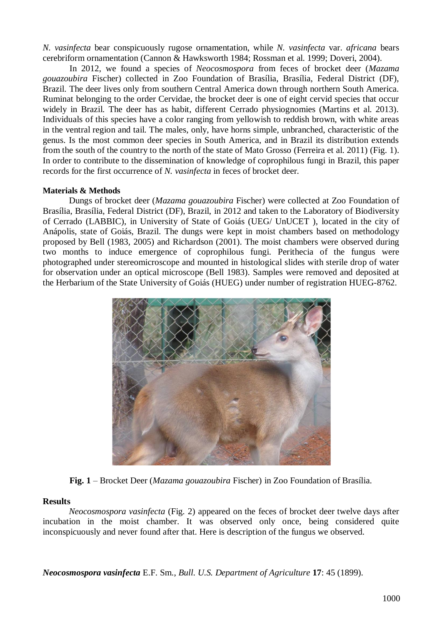*N. vasinfecta* bear conspicuously rugose ornamentation, while *N. vasinfecta* var. *africana* bears cerebriform ornamentation (Cannon & Hawksworth 1984; Rossman et al. 1999; Doveri, 2004).

In 2012, we found a species of *Neocosmospora* from feces of brocket deer (*Mazama gouazoubira* Fischer) collected in Zoo Foundation of Brasília, Brasília, Federal District (DF), Brazil. The deer lives only from southern Central America down through northern South America. Ruminat belonging to the order Cervidae, the brocket deer is one of eight cervid species that occur widely in Brazil. The deer has as habit, different Cerrado physiognomies (Martins et al. 2013). Individuals of this species have a color ranging from yellowish to reddish brown, with white areas in the ventral region and tail. The males, only, have horns simple, unbranched, characteristic of the genus. Is the most common deer species in South America, and in Brazil its distribution extends from the south of the country to the north of the state of Mato Grosso (Ferreira et al. 2011) (Fig. 1). In order to contribute to the dissemination of knowledge of coprophilous fungi in Brazil, this paper records for the first occurrence of *N. vasinfecta* in feces of brocket deer.

#### **Materials & Methods**

Dungs of brocket deer (*Mazama gouazoubira* Fischer) were collected at Zoo Foundation of Brasília, Brasília, Federal District (DF), Brazil, in 2012 and taken to the Laboratory of Biodiversity of Cerrado (LABBIC), in University of State of Goiás (UEG/ UnUCET ), located in the city of Anápolis, state of Goiás, Brazil. The dungs were kept in moist chambers based on methodology proposed by Bell (1983, 2005) and Richardson (2001). The moist chambers were observed during two months to induce emergence of coprophilous fungi. Perithecia of the fungus were photographed under stereomicroscope and mounted in histological slides with sterile drop of water for observation under an optical microscope (Bell 1983). Samples were removed and deposited at the Herbarium of the State University of Goiás (HUEG) under number of registration HUEG-8762.



**Fig. 1** – Brocket Deer (*Mazama gouazoubira* Fischer) in Zoo Foundation of Brasília.

## **Results**

*Neocosmospora vasinfecta* (Fig. 2) appeared on the feces of brocket deer twelve days after incubation in the moist chamber. It was observed only once, being considered quite inconspicuously and never found after that. Here is description of the fungus we observed.

*Neocosmospora vasinfecta* E.F. Sm., *Bull. U.S. Department of Agriculture* **17**: 45 (1899).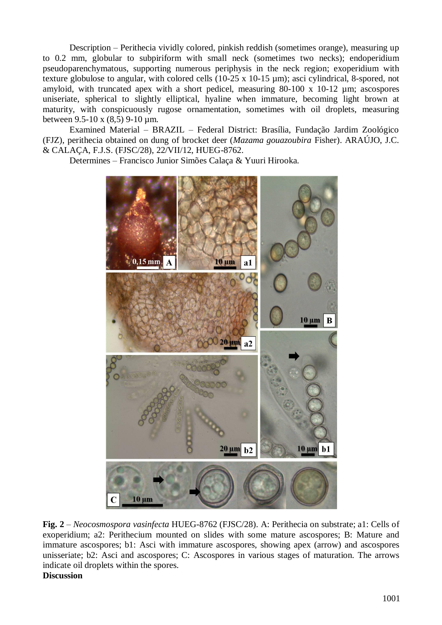Description – Perithecia vividly colored, pinkish reddish (sometimes orange), measuring up to 0.2 mm, globular to subpiriform with small neck (sometimes two necks); endoperidium pseudoparenchymatous, supporting numerous periphysis in the neck region; exoperidium with texture globulose to angular, with colored cells (10-25 x 10-15 µm); asci cylindrical, 8-spored, not amyloid, with truncated apex with a short pedicel, measuring 80-100 x 10-12 µm; ascospores uniseriate, spherical to slightly elliptical, hyaline when immature, becoming light brown at maturity, with conspicuously rugose ornamentation, sometimes with oil droplets, measuring between 9.5-10 x (8,5) 9-10 µm.

Examined Material – BRAZIL – Federal District: Brasília, Fundação Jardim Zoológico (FJZ), perithecia obtained on dung of brocket deer (*Mazama gouazoubira* Fisher). ARAÚJO, J.C. & CALAÇA, F.J.S. (FJSC/28), 22/VII/12, HUEG-8762.

Determines – Francisco Junior Simões Calaça & Yuuri Hirooka.



**Fig. 2** – *Neocosmospora vasinfecta* HUEG-8762 (FJSC/28). A: Perithecia on substrate; a1: Cells of exoperidium; a2: Perithecium mounted on slides with some mature ascospores; B: Mature and immature ascospores; b1: Asci with immature ascospores, showing apex (arrow) and ascospores unisseriate; b2: Asci and ascospores; C: Ascospores in various stages of maturation. The arrows indicate oil droplets within the spores. **Discussion**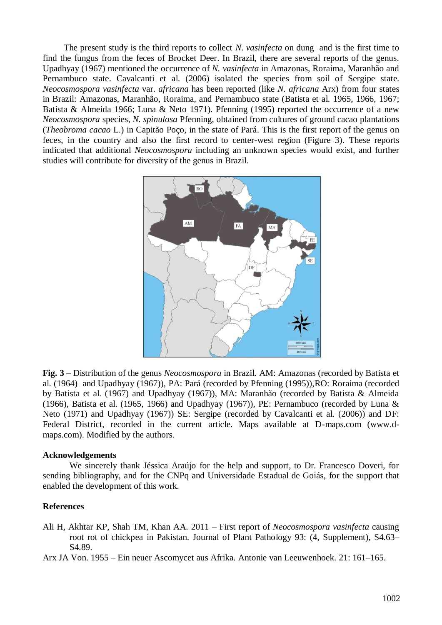The present study is the third reports to collect *N*. *vasinfecta* on dung and is the first time to find the fungus from the feces of Brocket Deer. In Brazil, there are several reports of the genus. Upadhyay (1967) mentioned the occurrence of *N. vasinfecta* in Amazonas, Roraima, Maranhão and Pernambuco state. Cavalcanti et al. (2006) isolated the species from soil of Sergipe state. *Neocosmospora vasinfecta* var. *africana* has been reported (like *N. africana* Arx) from four states in Brazil: Amazonas, Maranhão, Roraima, and Pernambuco state (Batista et al. 1965, 1966, 1967; Batista & Almeida 1966; Luna & Neto 1971). Pfenning (1995) reported the occurrence of a new *Neocosmospora* species, *N. spinulosa* Pfenning, obtained from cultures of ground cacao plantations (*Theobroma cacao* L.) in Capitão Poço, in the state of Pará. This is the first report of the genus on feces, in the country and also the first record to center-west region (Figure 3). These reports indicated that additional *Neocosmospora* including an unknown species would exist, and further studies will contribute for diversity of the genus in Brazil.

![](_page_3_Figure_1.jpeg)

**Fig. 3 –** Distribution of the genus *Neocosmospora* in Brazil. AM: Amazonas (recorded by Batista et al. (1964) and Upadhyay (1967)), PA: Pará (recorded by Pfenning (1995)),RO: Roraima (recorded by Batista et al. (1967) and Upadhyay (1967)), MA: Maranhão (recorded by Batista & Almeida (1966), Batista et al. (1965, 1966) and Upadhyay (1967)), PE: Pernambuco (recorded by Luna & Neto (1971) and Upadhyay (1967)) SE: Sergipe (recorded by Cavalcanti et al. (2006)) and DF: Federal District, recorded in the current article. Maps available at D-maps.com [\(www.d](http://www.d-maps.com/)[maps.com\)](http://www.d-maps.com/). Modified by the authors.

#### **Acknowledgements**

We sincerely thank Jéssica Araújo for the help and support, to Dr. Francesco Doveri, for sending bibliography, and for the CNPq and Universidade Estadual de Goiás, for the support that enabled the development of this work.

#### **References**

Ali H, Akhtar KP, Shah TM, Khan AA. 2011 – First report of *Neocosmospora vasinfecta* causing root rot of chickpea in Pakistan. Journal of Plant Pathology 93: (4, Supplement), S4.63– S4.89.

Arx JA Von. 1955 – Ein neuer Ascomycet aus Afrika. Antonie van Leeuwenhoek. 21: 161–165.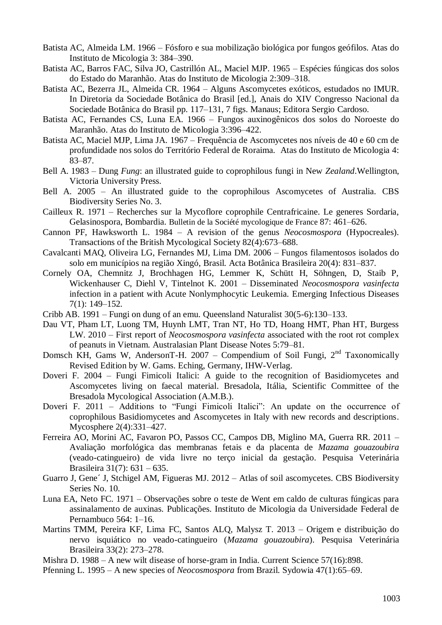- Batista AC, Almeida LM. 1966 Fósforo e sua mobilização biológica por fungos geófilos. Atas do Instituto de Micologia 3: 384–390.
- Batista AC, Barros FAC, Silva JO, Castrillón AL, Maciel MJP. 1965 Espécies fúngicas dos solos do Estado do Maranhão. Atas do Instituto de Micologia 2:309–318.
- Batista AC, Bezerra JL, Almeida CR. 1964 Alguns Ascomycetes exóticos, estudados no IMUR. In Diretoria da Sociedade Botânica do Brasil [ed.], Anais do XIV Congresso Nacional da Sociedade Botânica do Brasil pp. 117–131, 7 figs. Manaus; Editora Sergio Cardoso.
- Batista AC, Fernandes CS, Luna EA. 1966 Fungos auxinogênicos dos solos do Noroeste do Maranhão. Atas do Instituto de Micologia 3:396–422.
- Batista AC, Maciel MJP, Lima JA. 1967 Frequência de Ascomycetes nos níveis de 40 e 60 cm de profundidade nos solos do Território Federal de Roraima. Atas do Instituto de Micologia 4: 83–87.
- Bell A. 1983 Dung *Fung*: an illustrated guide to coprophilous fungi in New *Zealand*.Wellington, Victoria University Press.
- Bell A. 2005 An illustrated guide to the coprophilous Ascomycetes of Australia. CBS Biodiversity Series No. 3.
- Cailleux R. 1971 Recherches sur la Mycoflore coprophile Centrafricaine. Le generes Sordaria, Gelasinospora, Bombardia. Bulletin de la Société mycologique de France 87: 461–626.
- Cannon PF, Hawksworth L. 1984 A revision of the genus *Neocosmospora* (Hypocreales). Transactions of the British Mycological Society 82(4):673–688.
- Cavalcanti MAQ, Oliveira LG, Fernandes MJ, Lima DM. 2006 Fungos filamentosos isolados do solo em municípios na região Xingó, Brasil. Acta Botânica Brasileira 20(4): 831–837.
- Cornely OA, Chemnitz J, Brochhagen HG, Lemmer K, Schütt H, Söhngen, D, Staib P, Wickenhauser C, Diehl V, Tintelnot K. 2001 – Disseminated *Neocosmospora vasinfecta* infection in a patient with Acute Nonlymphocytic Leukemia. Emerging Infectious Diseases 7(1): 149–152.
- Cribb AB. 1991 Fungi on dung of an emu. Queensland Naturalist 30(5-6):130–133.
- Dau VT, Pham LT, Luong TM, Huynh LMT, Tran NT, Ho TD, Hoang HMT, Phan HT, Burgess LW. 2010 – First report of *Neocosmospora vasinfecta* associated with the root rot complex of peanuts in Vietnam. Australasian Plant Disease Notes 5:79–81.
- Domsch KH, Gams W, AndersonT-H. 2007 Compendium of Soil Fungi,  $2<sup>nd</sup>$  Taxonomically Revised Edition by W. Gams. Eching, Germany, IHW-Verlag.
- Doveri F. 2004 Fungi Fimicoli Italici: A guide to the recognition of Basidiomycetes and Ascomycetes living on faecal material. Bresadola, Itália, Scientific Committee of the Bresadola Mycological Association (A.M.B.).
- Doveri F. 2011 Additions to "Fungi Fimicoli Italici": An update on the occurrence of coprophilous Basidiomycetes and Ascomycetes in Italy with new records and descriptions. Mycosphere 2(4):331–427.
- Ferreira AO, Morini AC, Favaron PO, Passos CC, Campos DB, Miglino MA, Guerra RR. 2011 Avaliação morfológica das membranas fetais e da placenta de *Mazama gouazoubira* (veado-catingueiro) de vida livre no terço inicial da gestação. Pesquisa Veterinária Brasileira 31(7): 631 – 635.
- Guarro J, Gene´ J, Stchigel AM, Figueras MJ. 2012 Atlas of soil ascomycetes. CBS Biodiversity Series No. 10.
- Luna EA, Neto FC. 1971 Observações sobre o teste de Went em caldo de culturas fúngicas para assinalamento de auxinas. Publicações. Instituto de Micologia da Universidade Federal de Pernambuco 564: 1–16.
- Martins TMM, Pereira KF, Lima FC, Santos ALQ, Malysz T. 2013 Origem e distribuição do nervo isquiático no veado-catingueiro (*Mazama gouazoubira*). Pesquisa Veterinária Brasileira 33(2): 273–278.
- Mishra D. 1988 A new wilt disease of horse-gram in India. Current Science 57(16):898.
- Pfenning L. 1995 A new species of *Neocosmospora* from Brazil. Sydowia 47(1):65–69.